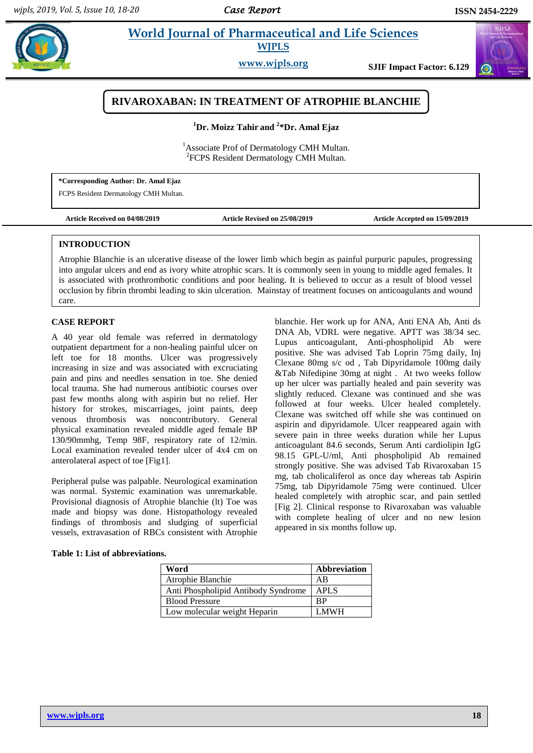$\omega$ 

# **Example 3** *W***orld Journal of Pharmaceutical and Life Sciences WJPLS**

**www.wjpls.org SJIF Impact Factor: 6.129**

# **RIVAROXABAN: IN TREATMENT OF ATROPHIE BLANCHIE**

**<sup>1</sup>Dr. Moizz Tahir and <sup>2</sup> \*Dr. Amal Ejaz**

<sup>1</sup>Associate Prof of Dermatology CMH Multan. <sup>2</sup>FCPS Resident Dermatology CMH Multan.

**\*Corresponding Author: Dr. Amal Ejaz** FCPS Resident Dermatology CMH Multan.

**Article Received on 04/08/2019 Article Revised on 25/08/2019 Article Accepted on 15/09/2019**

## **INTRODUCTION**

Atrophie Blanchie is an ulcerative disease of the lower limb which begin as painful purpuric papules, progressing into angular ulcers and end as ivory white atrophic scars. It is commonly seen in young to middle aged females. It is associated with prothrombotic conditions and poor healing. It is believed to occur as a result of blood vessel occlusion by fibrin thrombi leading to skin ulceration. Mainstay of treatment focuses on anticoagulants and wound care.

### **CASE REPORT**

A 40 year old female was referred in dermatology outpatient department for a non-healing painful ulcer on left toe for 18 months. Ulcer was progressively increasing in size and was associated with excruciating pain and pins and needles sensation in toe. She denied local trauma. She had numerous antibiotic courses over past few months along with aspirin but no relief. Her history for strokes, miscarriages, joint paints, deep venous thrombosis was noncontributory. General physical examination revealed middle aged female BP 130/90mmhg, Temp 98F, respiratory rate of 12/min. Local examination revealed tender ulcer of 4x4 cm on anterolateral aspect of toe [Fig1].

Peripheral pulse was palpable. Neurological examination was normal. Systemic examination was unremarkable. Provisional diagnosis of Atrophie blanchie (lt) Toe was made and biopsy was done. Histopathology revealed findings of thrombosis and sludging of superficial vessels, extravasation of RBCs consistent with Atrophie

blanchie. Her work up for ANA, Anti ENA Ab, Anti ds DNA Ab, VDRL were negative. APTT was 38/34 sec. Lupus anticoagulant, Anti-phospholipid Ab were positive. She was advised Tab Loprin 75mg daily, Inj Clexane 80mg s/c od , Tab Dipyridamole 100mg daily &Tab Nifedipine 30mg at night . At two weeks follow up her ulcer was partially healed and pain severity was slightly reduced. Clexane was continued and she was followed at four weeks. Ulcer healed completely. Clexane was switched off while she was continued on aspirin and dipyridamole. Ulcer reappeared again with severe pain in three weeks duration while her Lupus anticoagulant 84.6 seconds, Serum Anti cardiolipin IgG 98.15 GPL-U/ml, Anti phospholipid Ab remained strongly positive. She was advised Tab Rivaroxaban 15 mg, tab cholicaliferol as once day whereas tab Aspirin 75mg, tab Dipyridamole 75mg were continued. Ulcer healed completely with atrophic scar, and pain settled [Fig 2]. Clinical response to Rivaroxaban was valuable with complete healing of ulcer and no new lesion appeared in six months follow up.

#### **Table 1: List of abbreviations.**

| Word                                | Abbreviation |
|-------------------------------------|--------------|
| Atrophie Blanchie                   | AB           |
| Anti Phospholipid Antibody Syndrome | <b>APLS</b>  |
| <b>Blood Pressure</b>               | ВP           |
| Low molecular weight Heparin        | <b>LMWH</b>  |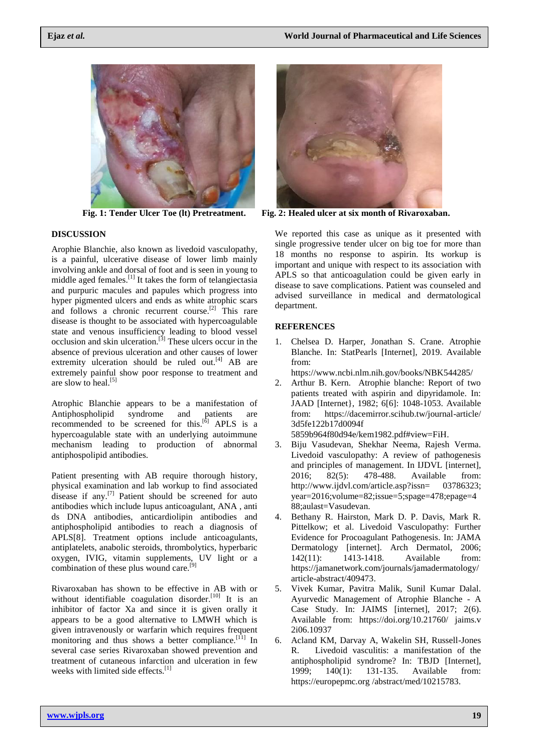

# **DISCUSSION**

Arophie Blanchie, also known as livedoid vasculopathy, is a painful, ulcerative disease of lower limb mainly involving ankle and dorsal of foot and is seen in young to middle aged females.[1] It takes the form of telangiectasia and purpuric macules and papules which progress into hyper pigmented ulcers and ends as white atrophic scars and follows a chronic recurrent course.<sup>[2]</sup> This rare disease is thought to be associated with hypercoagulable state and venous insufficiency leading to blood vessel occlusion and skin ulceration.<sup>[3]</sup> These ulcers occur in the absence of previous ulceration and other causes of lower extremity ulceration should be ruled out. $[4]$  AB are extremely painful show poor response to treatment and are slow to heal.<sup>[5]</sup>

Atrophic Blanchie appears to be a manifestation of Antiphospholipid syndrome and patients are recommended to be screened for this.<sup>[ $\delta$ ]</sup> APLS is a hypercoagulable state with an underlying autoimmune mechanism leading to production of abnormal antiphospolipid antibodies.

Patient presenting with AB require thorough history, physical examination and lab workup to find associated disease if any.<sup>[7]</sup> Patient should be screened for auto antibodies which include lupus anticoagulant, ANA , anti ds DNA antibodies, anticardiolipin antibodies and antiphospholipid antibodies to reach a diagnosis of APLS[8]. Treatment options include anticoagulants, antiplatelets, anabolic steroids, thrombolytics, hyperbaric oxygen, IVIG, vitamin supplements, UV light or a combination of these plus wound care.<sup>[9]</sup>

Rivaroxaban has shown to be effective in AB with or without identifiable coagulation disorder.<sup>[10]</sup> It is an inhibitor of factor Xa and since it is given orally it appears to be a good alternative to LMWH which is given intravenously or warfarin which requires frequent monitoring and thus shows a better compliance.<sup>[11]</sup> In several case series Rivaroxaban showed prevention and treatment of cutaneous infarction and ulceration in few weeks with limited side effects.<sup>[1]</sup>



**Fig. 1: Tender Ulcer Toe (lt) Pretreatment. Fig. 2: Healed ulcer at six month of Rivaroxaban.**

We reported this case as unique as it presented with single progressive tender ulcer on big toe for more than 18 months no response to aspirin. Its workup is important and unique with respect to its association with APLS so that anticoagulation could be given early in disease to save complications. Patient was counseled and advised surveillance in medical and dermatological department.

# **REFERENCES**

1. Chelsea D. Harper, Jonathan S. Crane. Atrophie Blanche. In: StatPearls [Internet], 2019. Available from:

https://www.ncbi.nlm.nih.gov/books/NBK544285/

2. Arthur B. Kern. Atrophie blanche: Report of two patients treated with aspirin and dipyridamole. In: JAAD [Internet}, 1982; 6[6]: 1048-1053. Available from: https://dacemirror.scihub.tw/journal-article/ 3d5fe122b17d0094f

5859b964f80d94e/kem1982.pdf#view=FiH.

- 3. Biju Vasudevan, Shekhar Neema, Rajesh Verma. Livedoid vasculopathy: A review of pathogenesis and principles of management. In IJDVL [internet], 2016; 82(5): 478-488. Available from: http://www.ijdvl.com/article.asp?issn= 03786323; year=2016;volume=82;issue=5;spage=478;epage=4 88;aulast=Vasudevan.
- 4. Bethany R. Hairston, Mark D. P. Davis, Mark R. Pittelkow; et al. Livedoid Vasculopathy: Further Evidence for Procoagulant Pathogenesis. In: JAMA Dermatology [internet]. Arch Dermatol, 2006; 142(11): 1413-1418. Available from: https://jamanetwork.com/journals/jamadermatology/ article-abstract/409473.
- 5. Vivek Kumar, Pavitra Malik, Sunil Kumar Dalal. Ayurvedic Management of Atrophie Blanche - A Case Study. In: JAIMS [internet], 2017; 2(6). Available from: https://doi.org/10.21760/ jaims.v 2i06.10937
- 6. Acland KM, Darvay A, Wakelin SH, Russell-Jones R. Livedoid vasculitis: a manifestation of the antiphospholipid syndrome? In: TBJD [Internet], 1999; 140(1): 131-135. Available from: https://europepmc.org /abstract/med/10215783.